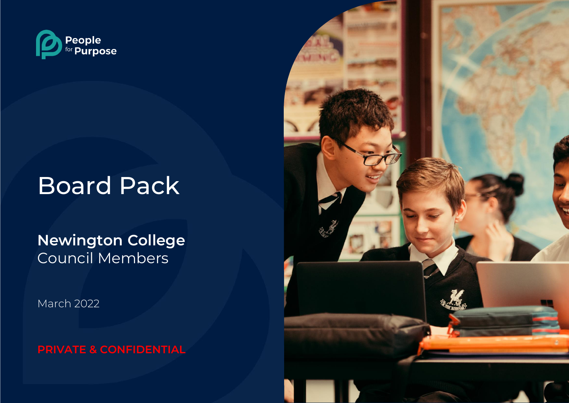

# Board Pack

## **Newington College** Council Members

March 2022

**PRIVATE & CONFIDENTIAL**

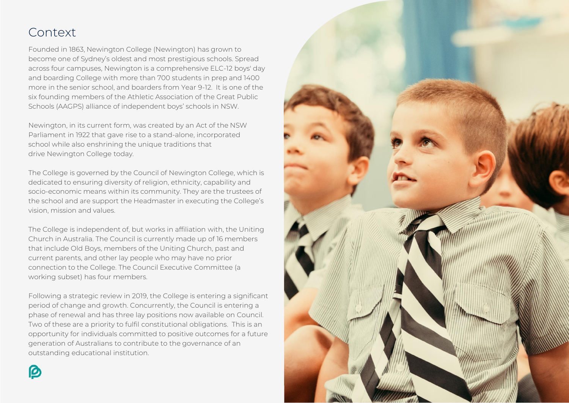## Context

Founded in 1863, Newington College (Newington) has grown to become one of Sydney's oldest and most prestigious schools. Spread across four campuses, Newington is a comprehensive ELC-12 boys' day and boarding College with more than 700 students in prep and 1400 more in the senior school, and boarders from Year 9-12. It is one of the six founding members of the Athletic Association of the Great Public Schools (AAGPS) alliance of independent boys' schools in NSW.

Newington, in its current form, was created by an Act of the NSW Parliament in 1922 that gave rise to a stand-alone, incorporated school while also enshrining the unique traditions that drive Newington College today.

The College is governed by the Council of Newington College, which is dedicated to ensuring diversity of religion, ethnicity, capability and socio-economic means within its community. They are the trustees of the school and are support the Headmaster in executing the College's vision, mission and values.

The College is independent of, but works in affiliation with, the Uniting Church in Australia. The Council is currently made up of 16 members that include Old Boys, members of the Uniting Church, past and current parents, and other lay people who may have no prior connection to the College. The Council Executive Committee (a working subset) has four members.

Following a strategic review in 2019, the College is entering a significant period of change and growth. Concurrently, the Council is entering a phase of renewal and has three lay positions now available on Council. Two of these are a priority to fulfil constitutional obligations. This is an opportunity for individuals committed to positive outcomes for a future generation of Australians to contribute to the governance of an outstanding educational institution.

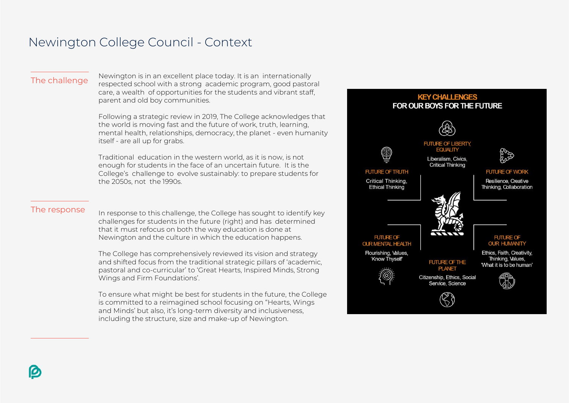## Newington College Council - Context

The challenge Newington is in an excellent place today. It is an internationally respected school with a strong academic program, good pastoral care, a wealth of opportunities for the students and vibrant staff, parent and old boy communities.

> Following a strategic review in 2019, The College acknowledges that the world is moving fast and the future of work, truth, learning, mental health, relationships, democracy, the planet - even humanity itself - are all up for grabs.

Traditional education in the western world, as it is now, is not enough for students in the face of an uncertain future. It is the College's challenge to evolve sustainably: to prepare students for the 2050s, not the 1990s.

The response In response to this challenge, the College has sought to identify key challenges for students in the future (right) and has determined that it must refocus on both the way education is done at Newington and the culture in which the education happens.

> The College has comprehensively reviewed its vision and strategy and shifted focus from the traditional strategic pillars of 'academic, pastoral and co-curricular' to 'Great Hearts, Inspired Minds, Strong Wings and Firm Foundations'.

To ensure what might be best for students in the future, the College is committed to a reimagined school focusing on "Hearts, Wings and Minds' but also, it's long-term diversity and inclusiveness, including the structure, size and make-up of Newington.

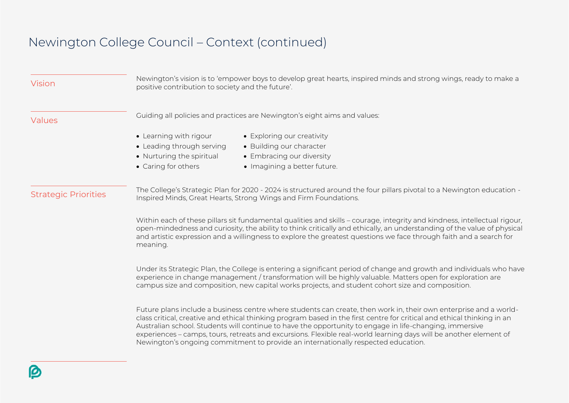## Newington College Council – Context (continued)

| Vision                      | Newington's vision is to 'empower boys to develop great hearts, inspired minds and strong wings, ready to make a<br>positive contribution to society and the future'.                                                                                                                                                                                                                                                                                                                                                                                             |  |
|-----------------------------|-------------------------------------------------------------------------------------------------------------------------------------------------------------------------------------------------------------------------------------------------------------------------------------------------------------------------------------------------------------------------------------------------------------------------------------------------------------------------------------------------------------------------------------------------------------------|--|
| Values                      | Guiding all policies and practices are Newington's eight aims and values:                                                                                                                                                                                                                                                                                                                                                                                                                                                                                         |  |
|                             | • Exploring our creativity<br>• Learning with rigour<br>• Leading through serving<br>• Building our character<br>• Embracing our diversity<br>• Nurturing the spiritual<br>• Caring for others<br>• Imagining a better future.                                                                                                                                                                                                                                                                                                                                    |  |
| <b>Strategic Priorities</b> | The College's Strategic Plan for 2020 - 2024 is structured around the four pillars pivotal to a Newington education -<br>Inspired Minds, Great Hearts, Strong Wings and Firm Foundations.                                                                                                                                                                                                                                                                                                                                                                         |  |
|                             | Within each of these pillars sit fundamental qualities and skills - courage, integrity and kindness, intellectual rigour,<br>open-mindedness and curiosity, the ability to think critically and ethically, an understanding of the value of physical<br>and artistic expression and a willingness to explore the greatest questions we face through faith and a search for<br>meaning.                                                                                                                                                                            |  |
|                             | Under its Strategic Plan, the College is entering a significant period of change and growth and individuals who have<br>experience in change management / transformation will be highly valuable. Matters open for exploration are<br>campus size and composition, new capital works projects, and student cohort size and composition.                                                                                                                                                                                                                           |  |
|                             | Future plans include a business centre where students can create, then work in, their own enterprise and a world-<br>class critical, creative and ethical thinking program based in the first centre for critical and ethical thinking in an<br>Australian school. Students will continue to have the opportunity to engage in life-changing, immersive<br>experiences - camps, tours, retreats and excursions. Flexible real-world learning days will be another element of<br>Newington's ongoing commitment to provide an internationally respected education. |  |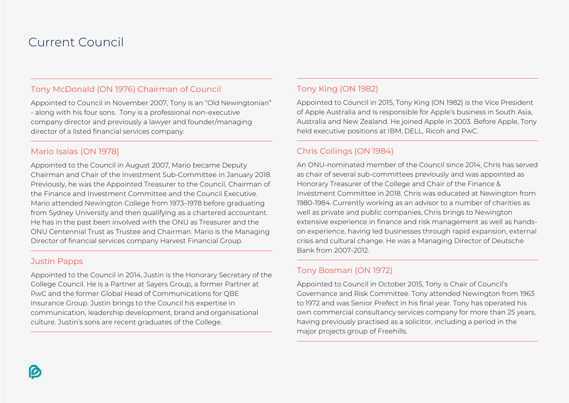## Current Council

#### Tony McDonald (ON 1976) Chairman of Council

Appointed to Council in November 2007, Tony is an "Old Newingtonian" - along with his four sons. Tony is a professional non-executive company director and previously a lawyer and founder/managing director of a listed financial services company.

#### Mario Isaias (ON 1978)

Appointed to the Council in August 2007, Mario became Deputy Chairman and Chair of the Investment Sub-Committee in January 2018. Previously, he was the Appointed Treasurer to the Council, Chairman of the Finance and Investment Committee and the Council Executive. Mario attended Newington College from 1973–1978 before graduating from Sydney University and then qualifying as a chartered accountant. He has in the past been involved with the ONU as Treasurer and the ONU Centennial Trust as Trustee and Chairman. Mario is the Managing Director of financial services company Harvest Financial Group.

#### Justin Papps

Appointed to the Council in 2014, Justin is the Honorary Secretary of the College Council. He is a Partner at Sayers Group, a former Partner at PwC and the former Global Head of Communications for QBE Insurance Group. Justin brings to the Council his expertise in communication, leadership development, brand and organisational culture. Justin's sons are recent graduates of the College.

### Tony King (ON 1982)

Appointed to Council in 2015, Tony King (ON 1982) is the Vice President of Apple Australia and is responsible for Apple's business in South Asia, Australia and New Zealand. He joined Apple in 2003. Before Apple, Tony held executive positions at IBM, DELL, Ricoh and PwC.

### Chris Collings (ON 1984)

An ONU-nominated member of the Council since 2014, Chris has served as chair of several sub-committees previously and was appointed as Honorary Treasurer of the College and Chair of the Finance & Investment Committee in 2018. Chris was educated at Newington from 1980-1984. Currently working as an advisor to a number of charities as well as private and public companies, Chris brings to Newington extensive experience in finance and risk management as well as handson experience, having led businesses through rapid expansion, external crisis and cultural change. He was a Managing Director of Deutsche Bank from 2007-2012.

### Tony Bosman (ON 1972)

Appointed to Council in October 2015, Tony is Chair of Council's Governance and Risk Committee. Tony attended Newington from 1963 to 1972 and was Senior Prefect in his final year. Tony has operated his own commercial consultancy services company for more than 25 years, having previously practised as a solicitor, including a period in the major projects group of Freehills.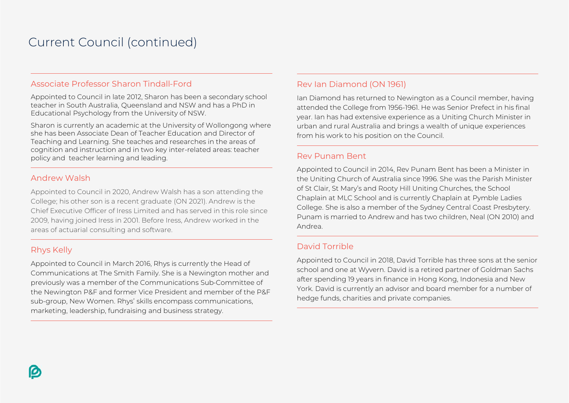## Current Council (continued)

#### Associate Professor Sharon Tindall-Ford

Appointed to Council in late 2012, Sharon has been a secondary school teacher in South Australia, Queensland and NSW and has a PhD in Educational Psychology from the University of NSW.

Sharon is currently an academic at the University of Wollongong where she has been Associate Dean of Teacher Education and Director of Teaching and Learning. She teaches and researches in the areas of cognition and instruction and in two key inter-related areas: teacher policy and teacher learning and leading.

#### Andrew Walsh

Appointed to Council in 2020, Andrew Walsh has a son attending the College; his other son is a recent graduate (ON 2021). Andrew is the Chief Executive Officer of Iress Limited and has served in this role since 2009, having joined Iress in 2001. Before Iress, Andrew worked in the areas of actuarial consulting and software.

#### Rhys Kelly

Appointed to Council in March 2016, Rhys is currently the Head of Communications at The Smith Family. She is a Newington mother and previously was a member of the Communications Sub-Committee of the Newington P&F and former Vice President and member of the P&F sub-group, New Women. Rhys' skills encompass communications, marketing, leadership, fundraising and business strategy.

#### Rev Ian Diamond (ON 1961)

Ian Diamond has returned to Newington as a Council member, having attended the College from 1956-1961. He was Senior Prefect in his final year. Ian has had extensive experience as a Uniting Church Minister in urban and rural Australia and brings a wealth of unique experiences from his work to his position on the Council.

#### Rev Punam Bent

Appointed to Council in 2014, Rev Punam Bent has been a Minister in the Uniting Church of Australia since 1996. She was the Parish Minister of St Clair, St Mary's and Rooty Hill Uniting Churches, the School Chaplain at MLC School and is currently Chaplain at Pymble Ladies College. She is also a member of the Sydney Central Coast Presbytery. Punam is married to Andrew and has two children, Neal (ON 2010) and Andrea.

#### David Torrible

Appointed to Council in 2018, David Torrible has three sons at the senior school and one at Wyvern. David is a retired partner of Goldman Sachs after spending 19 years in finance in Hong Kong, Indonesia and New York. David is currently an advisor and board member for a number of hedge funds, charities and private companies.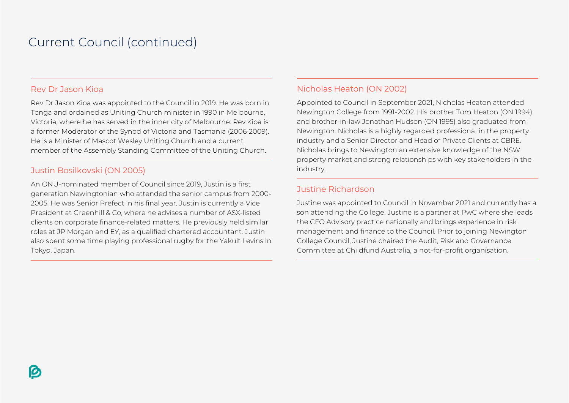## Current Council (continued)

#### Rev Dr Jason Kioa

Rev Dr Jason Kioa was appointed to the Council in 2019. He was born in Tonga and ordained as Uniting Church minister in 1990 in Melbourne, Victoria, where he has served in the inner city of Melbourne. Rev Kioa is a former Moderator of the Synod of Victoria and Tasmania (2006-2009). He is a Minister of Mascot Wesley Uniting Church and a current member of the Assembly Standing Committee of the Uniting Church.

#### Justin Bosilkovski (ON 2005)

An ONU-nominated member of Council since 2019, Justin is a first generation Newingtonian who attended the senior campus from 2000- 2005. He was Senior Prefect in his final year. Justin is currently a Vice President at Greenhill & Co, where he advises a number of ASX-listed clients on corporate finance-related matters. He previously held similar roles at JP Morgan and EY, as a qualified chartered accountant. Justin also spent some time playing professional rugby for the Yakult Levins in Tokyo, Japan.

#### Nicholas Heaton (ON 2002)

Appointed to Council in September 2021, Nicholas Heaton attended Newington College from 1991-2002. His brother Tom Heaton (ON 1994) and brother-in-law Jonathan Hudson (ON 1995) also graduated from Newington. Nicholas is a highly regarded professional in the property industry and a Senior Director and Head of Private Clients at CBRE. Nicholas brings to Newington an extensive knowledge of the NSW property market and strong relationships with key stakeholders in the industry.

#### Justine Richardson

Justine was appointed to Council in November 2021 and currently has a son attending the College. Justine is a partner at PwC where she leads the CFO Advisory practice nationally and brings experience in risk management and finance to the Council. Prior to joining Newington College Council, Justine chaired the Audit, Risk and Governance Committee at Childfund Australia, a not-for-profit organisation.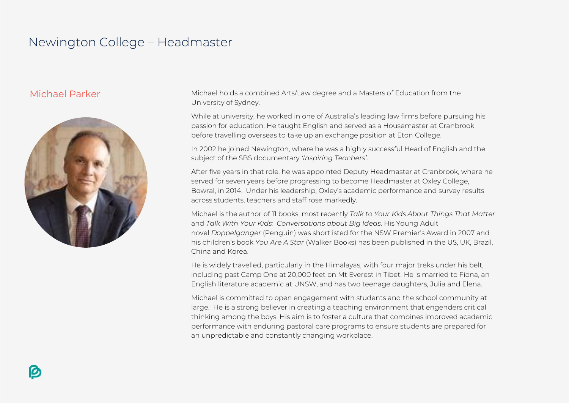## Newington College – Headmaster



Michael Parker Michael holds a combined Arts/Law degree and a Masters of Education from the University of Sydney.

> While at university, he worked in one of Australia's leading law firms before pursuing his passion for education. He taught English and served as a Housemaster at Cranbrook before travelling overseas to take up an exchange position at Eton College.

> In 2002 he joined Newington, where he was a highly successful Head of English and the subject of the SBS documentary *'Inspiring Teachers'*.

After five years in that role, he was appointed Deputy Headmaster at Cranbrook, where he served for seven years before progressing to become Headmaster at Oxley College, Bowral, in 2014. Under his leadership, Oxley's academic performance and survey results across students, teachers and staff rose markedly.

Michael is the author of 11 books, most recently *Talk to Your Kids About Things That Matter*  and *Talk With Your Kids: Conversations about Big Ideas*. His Young Adult novel *Doppelganger* (Penguin) was shortlisted for the NSW Premier's Award in 2007 and his children's book *You Are A Star* (Walker Books) has been published in the US, UK, Brazil, China and Korea.

He is widely travelled, particularly in the Himalayas, with four major treks under his belt, including past Camp One at 20,000 feet on Mt Everest in Tibet. He is married to Fiona, an English literature academic at UNSW, and has two teenage daughters, Julia and Elena.

Michael is committed to open engagement with students and the school community at large. He is a strong believer in creating a teaching environment that engenders critical thinking among the boys. His aim is to foster a culture that combines improved academic performance with enduring pastoral care programs to ensure students are prepared for an unpredictable and constantly changing workplace.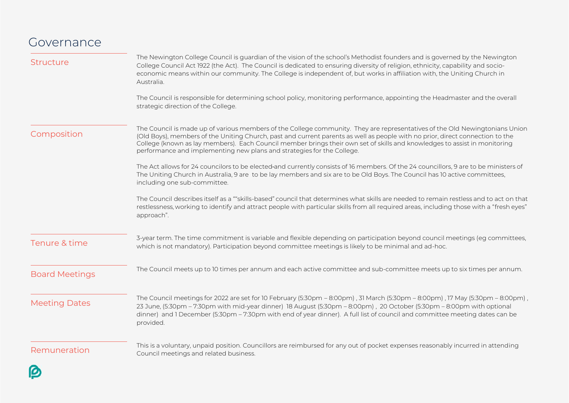## Governance

| <b>Structure</b>      | The Newington College Council is guardian of the vision of the school's Methodist founders and is governed by the Newington<br>College Council Act 1922 (the Act). The Council is dedicated to ensuring diversity of religion, ethnicity, capability and socio-<br>economic means within our community. The College is independent of, but works in affiliation with, the Uniting Church in<br>Australia.                                                           |  |
|-----------------------|---------------------------------------------------------------------------------------------------------------------------------------------------------------------------------------------------------------------------------------------------------------------------------------------------------------------------------------------------------------------------------------------------------------------------------------------------------------------|--|
|                       | The Council is responsible for determining school policy, monitoring performance, appointing the Headmaster and the overall<br>strategic direction of the College.                                                                                                                                                                                                                                                                                                  |  |
| Composition           | The Council is made up of various members of the College community. They are representatives of the Old Newingtonians Union<br>(Old Boys), members of the Uniting Church, past and current parents as well as people with no prior, direct connection to the<br>College (known as lay members). Each Council member brings their own set of skills and knowledges to assist in monitoring<br>performance and implementing new plans and strategies for the College. |  |
|                       | The Act allows for 24 councilors to be elected-and currently consists of 16 members. Of the 24 councillors, 9 are to be ministers of<br>The Uniting Church in Australia, 9 are to be lay members and six are to be Old Boys. The Council has 10 active committees,<br>including one sub-committee.                                                                                                                                                                  |  |
|                       | The Council describes itself as a ""skills-based" council that determines what skills are needed to remain restless and to act on that<br>restlessness, working to identify and attract people with particular skills from all required areas, including those with a "fresh eyes"<br>approach".                                                                                                                                                                    |  |
| Tenure & time         | 3-year term. The time commitment is variable and flexible depending on participation beyond council meetings (eg committees,<br>which is not mandatory). Participation beyond committee meetings is likely to be minimal and ad-hoc.                                                                                                                                                                                                                                |  |
| <b>Board Meetings</b> | The Council meets up to 10 times per annum and each active committee and sub-committee meets up to six times per annum.                                                                                                                                                                                                                                                                                                                                             |  |
| <b>Meeting Dates</b>  | The Council meetings for 2022 are set for 10 February (5:30pm - 8:00pm), 31 March (5:30pm - 8:00pm), 17 May (5:30pm - 8:00pm),<br>23 June, (5:30pm - 7:30pm with mid-year dinner) 18 August (5:30pm - 8:00pm), 20 October (5:30pm - 8:00pm with optional<br>dinner) and 1 December (5:30pm - 7:30pm with end of year dinner). A full list of council and committee meeting dates can be<br>provided.                                                                |  |
| Remuneration          | This is a voluntary, unpaid position. Councillors are reimbursed for any out of pocket expenses reasonably incurred in attending<br>Council meetings and related business.                                                                                                                                                                                                                                                                                          |  |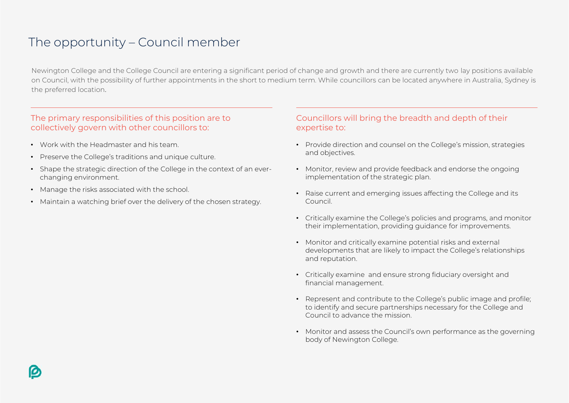## The opportunity – Council member

Newington College and the College Council are entering a significant period of change and growth and there are currently two lay positions available on Council, with the possibility of further appointments in the short to medium term. While councillors can be located anywhere in Australia, Sydney is the preferred location.

#### The primary responsibilities of this position are to collectively govern with other councillors to:

- Work with the Headmaster and his team.
- Preserve the College's traditions and unique culture.
- Shape the strategic direction of the College in the context of an everchanging environment.
- Manage the risks associated with the school.
- Maintain a watching brief over the delivery of the chosen strategy.

#### Councillors will bring the breadth and depth of their expertise to:

- Provide direction and counsel on the College's mission, strategies and objectives.
- Monitor, review and provide feedback and endorse the ongoing implementation of the strategic plan.
- Raise current and emerging issues affecting the College and its Council.
- Critically examine the College's policies and programs, and monitor their implementation, providing guidance for improvements.
- Monitor and critically examine potential risks and external developments that are likely to impact the College's relationships and reputation.
- Critically examine and ensure strong fiduciary oversight and financial management.
- Represent and contribute to the College's public image and profile; to identify and secure partnerships necessary for the College and Council to advance the mission.
- Monitor and assess the Council's own performance as the governing body of Newington College.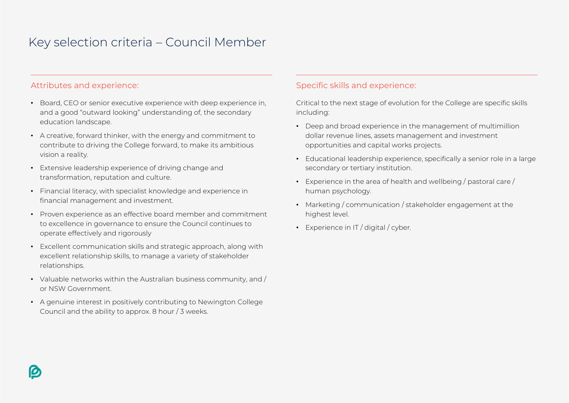## Key selection criteria – Council Member

#### Attributes and experience:

- Board, CEO or senior executive experience with deep experience in, and a good "outward looking" understanding of, the secondary education landscape.
- A creative, forward thinker, with the energy and commitment to contribute to driving the College forward, to make its ambitious vision a reality.
- Extensive leadership experience of driving change and transformation, reputation and culture.
- Financial literacy, with specialist knowledge and experience in financial management and investment.
- Proven experience as an effective board member and commitment to excellence in governance to ensure the Council continues to operate effectively and rigorously
- Excellent communication skills and strategic approach, along with excellent relationship skills, to manage a variety of stakeholder relationships.
- Valuable networks within the Australian business community, and / or NSW Government.
- A genuine interest in positively contributing to Newington College Council and the ability to approx. 8 hour / 3 weeks.

#### Specific skills and experience:

Critical to the next stage of evolution for the College are specific skills including:

- Deep and broad experience in the management of multimillion dollar revenue lines, assets management and investment opportunities and capital works projects.
- Educational leadership experience, specifically a senior role in a large secondary or tertiary institution.
- Experience in the area of health and wellbeing / pastoral care / human psychology.
- Marketing / communication / stakeholder engagement at the highest level.
- Experience in IT / digital / cyber.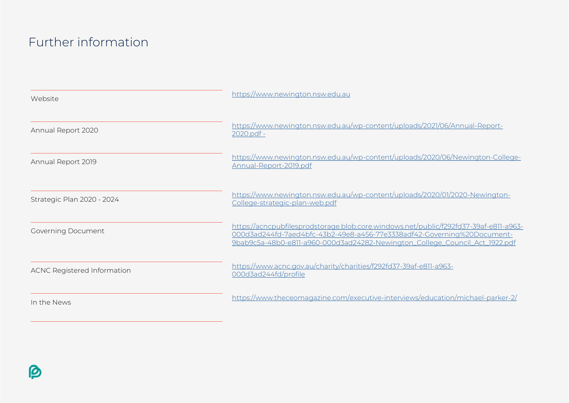## Further information

| Website                            | https://www.newington.nsw.edu.au                                                                                                                                                                                                                |
|------------------------------------|-------------------------------------------------------------------------------------------------------------------------------------------------------------------------------------------------------------------------------------------------|
| Annual Report 2020                 | https://www.newington.nsw.edu.au/wp-content/uploads/2021/06/Annual-Report-<br>2020.pdf -                                                                                                                                                        |
| Annual Report 2019                 | https://www.newington.nsw.edu.au/wp-content/uploads/2020/06/Newington-College-<br>Annual-Report-2019.pdf                                                                                                                                        |
| Strategic Plan 2020 - 2024         | https://www.newington.nsw.edu.au/wp-content/uploads/2020/01/2020-Newington-<br>College-strategic-plan-web.pdf                                                                                                                                   |
| <b>Governing Document</b>          | https://acncpubfilesprodstorage.blob.core.windows.net/public/f292fd37-39af-e811-a963-<br>000d3ad244fd-7aed4bfc-43b2-49e8-a456-77e3338adf42-Governing%20Document-<br>9bab9c5a-48b0-e811-a960-000d3ad24282-Newington_College_Council_Act_1922.pdf |
| <b>ACNC Registered Information</b> | https://www.acnc.gov.au/charity/charities/f292fd37-39af-e811-a963-<br>000d3ad244fd/profile                                                                                                                                                      |
| In the News                        | https://www.theceomagazine.com/executive-interviews/education/michael-parker-2/                                                                                                                                                                 |